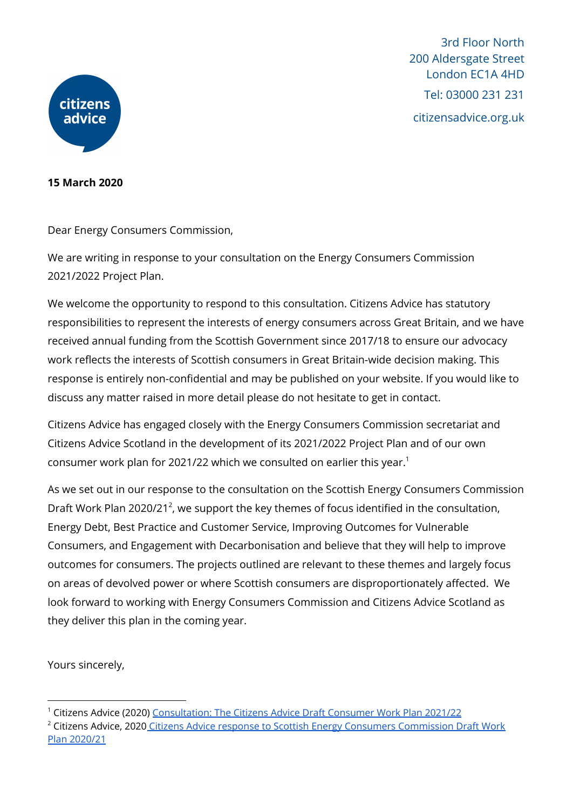

3rd Floor North 200 Aldersgate Street London EC1A 4HD Tel: 03000 231 231 citizensadvice.org.uk

## **15 March 2020**

Dear Energy Consumers Commission,

We are writing in response to your consultation on the Energy Consumers Commission 2021/2022 Project Plan.

We welcome the opportunity to respond to this consultation. Citizens Advice has statutory responsibilities to represent the interests of energy consumers across Great Britain, and we have received annual funding from the Scottish Government since 2017/18 to ensure our advocacy work reflects the interests of Scottish consumers in Great Britain-wide decision making. This response is entirely non-confidential and may be published on your website. If you would like to discuss any matter raised in more detail please do not hesitate to get in contact.

Citizens Advice has engaged closely with the Energy Consumers Commission secretariat and Citizens Advice Scotland in the development of its 2021/2022 Project Plan and of our own consumer work plan for 2021/22 which we consulted on earlier this year. 1

As we set out in our response to the consultation on the Scottish Energy Consumers Commission Draft Work Plan 2020/21<sup>2</sup>, we support the key themes of focus identified in the consultation, Energy Debt, Best Practice and Customer Service, Improving Outcomes for Vulnerable Consumers, and Engagement with Decarbonisation and believe that they will help to improve outcomes for consumers. The projects outlined are relevant to these themes and largely focus on areas of devolved power or where Scottish consumers are disproportionately affected. We look forward to working with Energy Consumers Commission and Citizens Advice Scotland as they deliver this plan in the coming year.

Yours sincerely,

<sup>1</sup> Citizens Advice (2020) [Consultation:](https://www.citizensadvice.org.uk/about-us/our-work/policy/policy-research-topics/consumer-policy-research/consumer-policy-research/consultation-the-citizens-advice-draft-consumer-work-plan-202122/) The Citizens Advice Draft Consumer Work Plan 2021/22

<sup>&</sup>lt;sup>2</sup> Citizens Advice, 2020 Citizens Advice response to Scottish Energy Consumers [Commission](https://www.citizensadvice.org.uk/about-us/our-work/policy/policy-research-topics/energy-policy-research-and-consultation-responses/energy-consultation-responses/citizens-advice-response-to-scottish-energy-consumers-commission-draft-work-plan-202021/) Draft Work Plan [2020/21](https://www.citizensadvice.org.uk/about-us/our-work/policy/policy-research-topics/energy-policy-research-and-consultation-responses/energy-consultation-responses/citizens-advice-response-to-scottish-energy-consumers-commission-draft-work-plan-202021/)